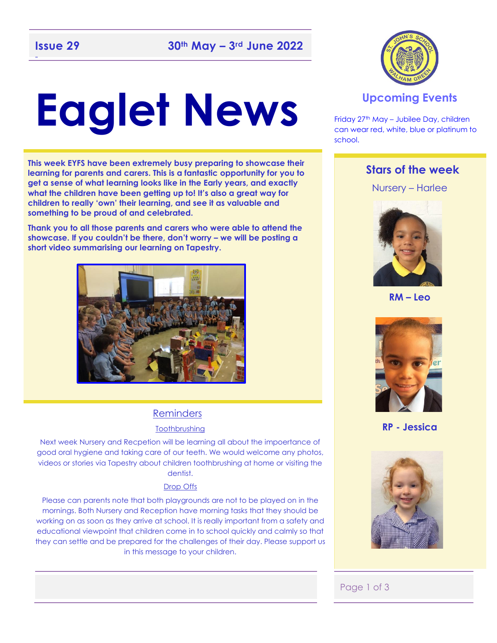# **Eaglet News**

**This week EYFS have been extremely busy preparing to showcase their learning for parents and carers. This is a fantastic opportunity for you to get a sense of what learning looks like in the Early years, and exactly what the children have been getting up to! It's also a great way for children to really 'own' their learning, and see it as valuable and something to be proud of and celebrated.** 

**Thank you to all those parents and carers who were able to attend the showcase. If you couldn't be there, don't worry – we will be posting a short video summarising our learning on Tapestry.** 



#### Reminders

#### **Toothbrushing**

Next week Nursery and Recpetion will be learning all about the impoertance of good oral hygiene and taking care of our teeth. We would welcome any photos, videos or stories via Tapestry about children toothbrushing at home or visiting the dentist.

#### Drop Offs

Please can parents note that both playgrounds are not to be played on in the mornings. Both Nursery and Reception have morning tasks that they should be working on as soon as they arrive at school. It is really important from a safety and educational viewpoint that children come in to school quickly and calmly so that they can settle and be prepared for the challenges of their day. Please support us in this message to your children.



#### **Upcoming Events**

Friday 27th May – Jubilee Day, children can wear red, white, blue or platinum to school.

#### **Stars of the week**

Nursery – Harlee



**RM – Leo**



**RP - Jessica**



#### Page 1 of 3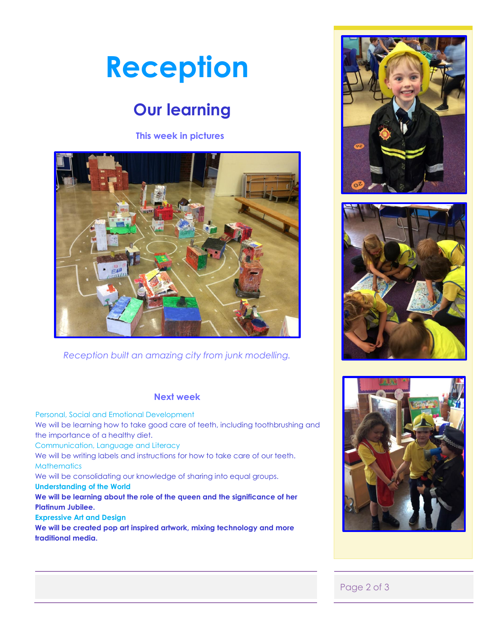# **Reception**

## **Our learning**

#### **This week in pictures**



*Reception built an amazing city from junk modelling.* 

#### **Next week**

 Personal, Social and Emotional Development We will be learning how to take good care of teeth, including toothbrushing and the importance of a healthy diet. Communication, Language and Literacy We will be writing labels and instructions for how to take care of our teeth. **Mathematics** We will be consolidating our knowledge of sharing into equal groups. **Understanding of the World We will be learning about the role of the queen and the significance of her Platinum Jubilee.** 

#### **Expressive Art and Design**

**We will be created pop art inspired artwork, mixing technology and more traditional media.** 







#### Page 2 of 3